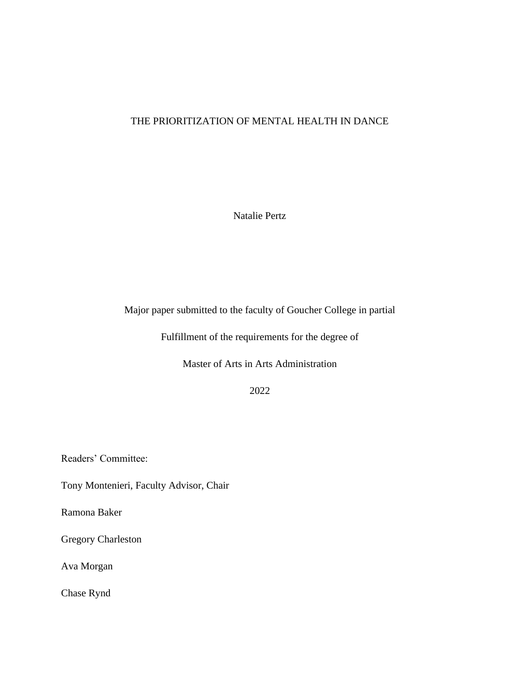# THE PRIORITIZATION OF MENTAL HEALTH IN DANCE

Natalie Pertz

Major paper submitted to the faculty of Goucher College in partial

Fulfillment of the requirements for the degree of

Master of Arts in Arts Administration

2022

Readers' Committee:

Tony Montenieri, Faculty Advisor, Chair

Ramona Baker

Gregory Charleston

Ava Morgan

Chase Rynd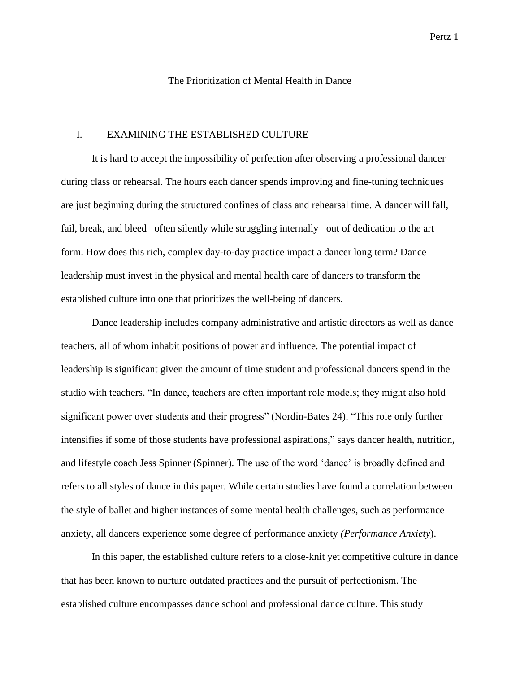# The Prioritization of Mental Health in Dance

## I. EXAMINING THE ESTABLISHED CULTURE

It is hard to accept the impossibility of perfection after observing a professional dancer during class or rehearsal. The hours each dancer spends improving and fine-tuning techniques are just beginning during the structured confines of class and rehearsal time. A dancer will fall, fail, break, and bleed –often silently while struggling internally– out of dedication to the art form. How does this rich, complex day-to-day practice impact a dancer long term? Dance leadership must invest in the physical and mental health care of dancers to transform the established culture into one that prioritizes the well-being of dancers.

Dance leadership includes company administrative and artistic directors as well as dance teachers, all of whom inhabit positions of power and influence. The potential impact of leadership is significant given the amount of time student and professional dancers spend in the studio with teachers. "In dance, teachers are often important role models; they might also hold significant power over students and their progress" (Nordin-Bates 24). "This role only further intensifies if some of those students have professional aspirations," says dancer health, nutrition, and lifestyle coach Jess Spinner (Spinner). The use of the word 'dance' is broadly defined and refers to all styles of dance in this paper. While certain studies have found a correlation between the style of ballet and higher instances of some mental health challenges, such as performance anxiety, all dancers experience some degree of performance anxiety *(Performance Anxiety*).

In this paper, the established culture refers to a close-knit yet competitive culture in dance that has been known to nurture outdated practices and the pursuit of perfectionism. The established culture encompasses dance school and professional dance culture. This study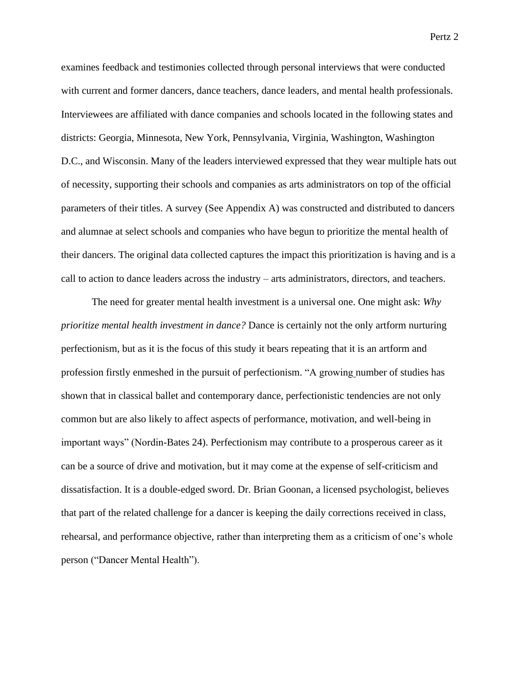examines feedback and testimonies collected through personal interviews that were conducted with current and former dancers, dance teachers, dance leaders, and mental health professionals. Interviewees are affiliated with dance companies and schools located in the following states and districts: Georgia, Minnesota, New York, Pennsylvania, Virginia, Washington, Washington D.C., and Wisconsin. Many of the leaders interviewed expressed that they wear multiple hats out of necessity, supporting their schools and companies as arts administrators on top of the official parameters of their titles. A survey (See Appendix A) was constructed and distributed to dancers and alumnae at select schools and companies who have begun to prioritize the mental health of their dancers. The original data collected captures the impact this prioritization is having and is a call to action to dance leaders across the industry – arts administrators, directors, and teachers.

The need for greater mental health investment is a universal one. One might ask: *Why prioritize mental health investment in dance?* Dance is certainly not the only artform nurturing perfectionism, but as it is the focus of this study it bears repeating that it is an artform and profession firstly enmeshed in the pursuit of perfectionism. "A growing number of studies has shown that in classical ballet and contemporary dance, perfectionistic tendencies are not only common but are also likely to affect aspects of performance, motivation, and well-being in important ways" (Nordin-Bates 24). Perfectionism may contribute to a prosperous career as it can be a source of drive and motivation, but it may come at the expense of self-criticism and dissatisfaction. It is a double-edged sword. Dr. Brian Goonan, a licensed psychologist, believes that part of the related challenge for a dancer is keeping the daily corrections received in class, rehearsal, and performance objective, rather than interpreting them as a criticism of one's whole person ("Dancer Mental Health").

Pertz 2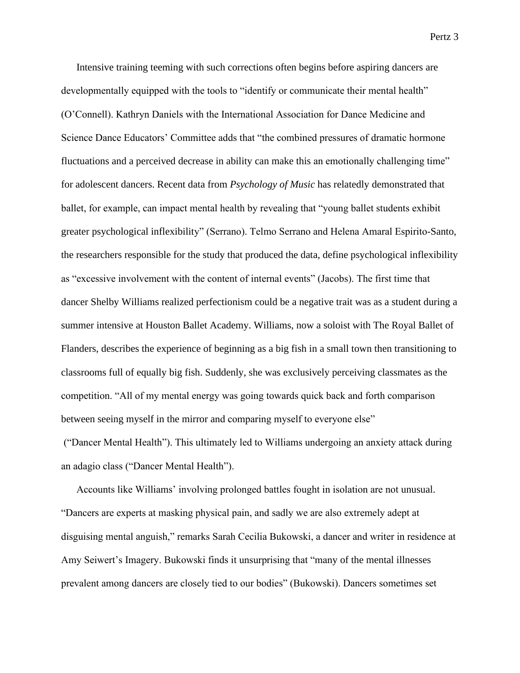Intensive training teeming with such corrections often begins before aspiring dancers are developmentally equipped with the tools to "identify or communicate their mental health" (O'Connell). Kathryn Daniels with the International Association for Dance Medicine and Science Dance Educators' Committee adds that "the combined pressures of dramatic hormone fluctuations and a perceived decrease in ability can make this an emotionally challenging time" for adolescent dancers. Recent data from *Psychology of Music* has relatedly demonstrated that ballet, for example, can impact mental health by revealing that "young ballet students exhibit greater psychological inflexibility" (Serrano). Telmo Serrano and Helena Amaral Espirito-Santo, the researchers responsible for the study that produced the data, define psychological inflexibility as "excessive involvement with the content of internal events" (Jacobs). The first time that dancer Shelby Williams realized perfectionism could be a negative trait was as a student during a summer intensive at Houston Ballet Academy. Williams, now a soloist with The Royal Ballet of Flanders, describes the experience of beginning as a big fish in a small town then transitioning to classrooms full of equally big fish. Suddenly, she was exclusively perceiving classmates as the competition. "All of my mental energy was going towards quick back and forth comparison between seeing myself in the mirror and comparing myself to everyone else"

("Dancer Mental Health"). This ultimately led to Williams undergoing an anxiety attack during an adagio class ("Dancer Mental Health").

Accounts like Williams' involving prolonged battles fought in isolation are not unusual. "Dancers are experts at masking physical pain, and sadly we are also extremely adept at disguising mental anguish," remarks Sarah Cecilia Bukowski, a dancer and writer in residence at Amy Seiwert's Imagery. Bukowski finds it unsurprising that "many of the mental illnesses prevalent among dancers are closely tied to our bodies" (Bukowski). Dancers sometimes set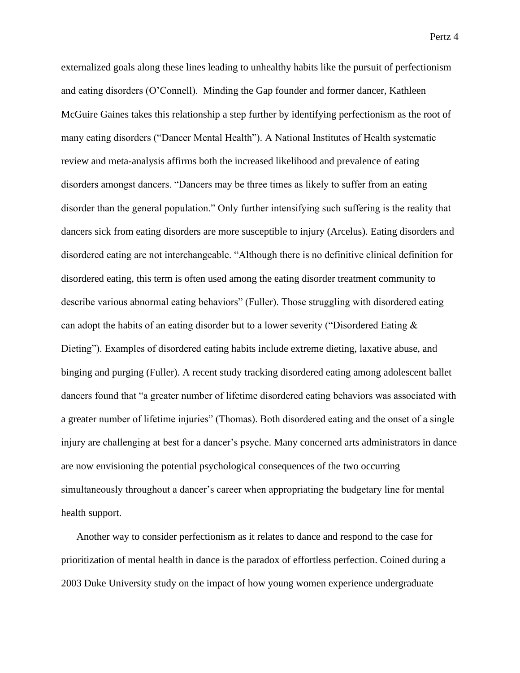externalized goals along these lines leading to unhealthy habits like the pursuit of perfectionism and eating disorders (O'Connell). Minding the Gap founder and former dancer, Kathleen McGuire Gaines takes this relationship a step further by identifying perfectionism as the root of many eating disorders ("Dancer Mental Health"). A National Institutes of Health systematic review and meta-analysis affirms both the increased likelihood and prevalence of eating disorders amongst dancers. "Dancers may be three times as likely to suffer from an eating disorder than the general population." Only further intensifying such suffering is the reality that dancers sick from eating disorders are more susceptible to injury (Arcelus). Eating disorders and disordered eating are not interchangeable. "Although there is no definitive clinical definition for disordered eating, this term is often used among the eating disorder treatment community to describe various abnormal eating behaviors" (Fuller). Those struggling with disordered eating can adopt the habits of an eating disorder but to a lower severity ("Disordered Eating & Dieting"). Examples of disordered eating habits include extreme dieting, laxative abuse, and binging and purging (Fuller). A recent study tracking disordered eating among adolescent ballet dancers found that "a greater number of lifetime disordered eating behaviors was associated with a greater number of lifetime injuries" (Thomas). Both disordered eating and the onset of a single injury are challenging at best for a dancer's psyche. Many concerned arts administrators in dance are now envisioning the potential psychological consequences of the two occurring simultaneously throughout a dancer's career when appropriating the budgetary line for mental health support.

Another way to consider perfectionism as it relates to dance and respond to the case for prioritization of mental health in dance is the paradox of effortless perfection. Coined during a 2003 Duke University study on the impact of how young women experience undergraduate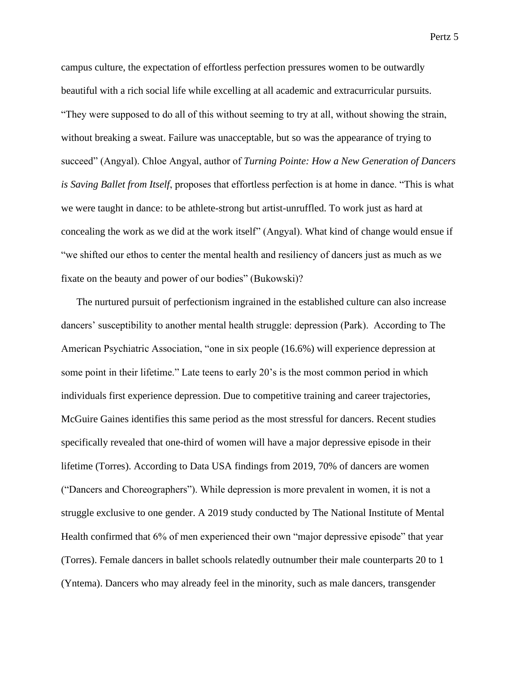campus culture, the expectation of effortless perfection pressures women to be outwardly beautiful with a rich social life while excelling at all academic and extracurricular pursuits. "They were supposed to do all of this without seeming to try at all, without showing the strain, without breaking a sweat. Failure was unacceptable, but so was the appearance of trying to succeed" (Angyal). Chloe Angyal, author of *Turning Pointe: How a New Generation of Dancers is Saving Ballet from Itself*, proposes that effortless perfection is at home in dance. "This is what we were taught in dance: to be athlete-strong but artist-unruffled. To work just as hard at concealing the work as we did at the work itself" (Angyal). What kind of change would ensue if "we shifted our ethos to center the mental health and resiliency of dancers just as much as we fixate on the beauty and power of our bodies" (Bukowski)?

The nurtured pursuit of perfectionism ingrained in the established culture can also increase dancers' susceptibility to another mental health struggle: depression (Park). According to The American Psychiatric Association, "one in six people (16.6%) will experience depression at some point in their lifetime." Late teens to early 20's is the most common period in which individuals first experience depression. Due to competitive training and career trajectories, McGuire Gaines identifies this same period as the most stressful for dancers. [Recent studies](https://www.wearemindingthegap.org/)  specifically revealed that one-third of women will have a major depressive episode in their lifetime (Torres). According to Data USA findings from 2019, 70% of dancers are women ("Dancers and Choreographers"). While depression is more prevalent in women, it is not a struggle exclusive to one gender. A 2019 study conducted by The National Institute of Mental Health confirmed that 6% of men experienced their own "major depressive episode" that year (Torres). Female dancers in ballet schools relatedly outnumber their male counterparts 20 to 1 (Yntema). Dancers who may already feel in the minority, such as male dancers, transgender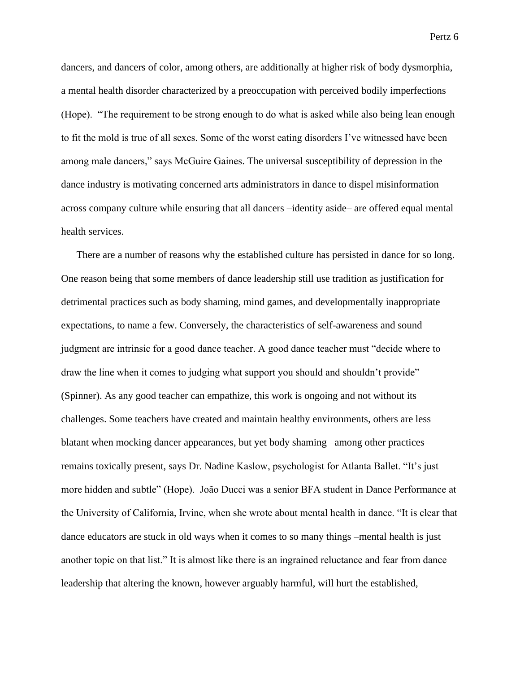dancers, and dancers of color, among others, are additionally at higher risk of body dysmorphia, a mental health disorder characterized by a preoccupation with perceived bodily imperfections (Hope). "The requirement to be strong enough to do what is asked while also being lean enough to fit the mold is true of all sexes. Some of the worst eating disorders I've witnessed have been among male dancers," says McGuire Gaines. The universal susceptibility of depression in the dance industry is motivating concerned arts administrators in dance to dispel misinformation across company culture while ensuring that all dancers –identity aside– are offered equal mental health services.

There are a number of reasons why the established culture has persisted in dance for so long. One reason being that some members of dance leadership still use tradition as justification for detrimental practices such as body shaming, mind games, and developmentally inappropriate expectations, to name a few. Conversely, the characteristics of self-awareness and sound judgment are intrinsic for a good dance teacher. A good dance teacher must "decide where to draw the line when it comes to judging what support you should and shouldn't provide" (Spinner). As any good teacher can empathize, this work is ongoing and not without its challenges. Some teachers have created and maintain healthy environments, others are less blatant when mocking dancer appearances, but yet body shaming –among other practices– remains toxically present, says Dr. Nadine Kaslow, psychologist for Atlanta Ballet. "It's just more hidden and subtle" (Hope). João Ducci was a senior BFA student in Dance Performance at the University of California, Irvine, when she wrote about mental health in dance. "It is clear that dance educators are stuck in old ways when it comes to so many things –mental health is just another topic on that list." It is almost like there is an ingrained reluctance and fear from dance leadership that altering the known, however arguably harmful, will hurt the established,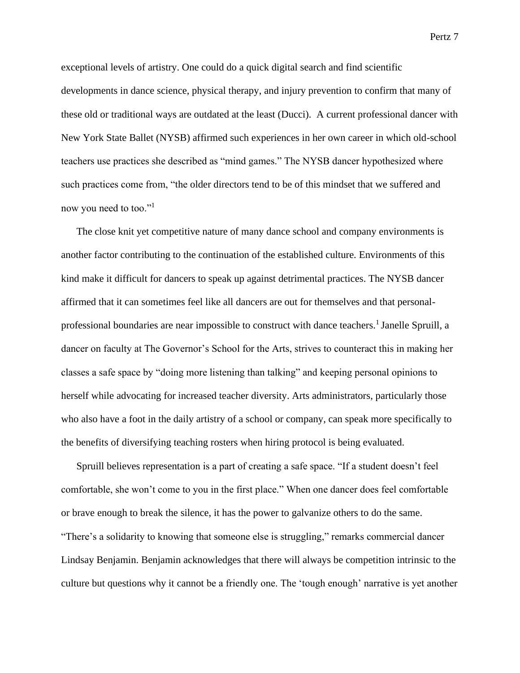exceptional levels of artistry. One could do a quick digital search and find scientific developments in dance science, physical therapy, and injury prevention to confirm that many of these old or traditional ways are outdated at the least (Ducci). A current professional dancer with New York State Ballet (NYSB) affirmed such experiences in her own career in which old-school teachers use practices she described as "mind games." The NYSB dancer hypothesized where

now you need to too."<sup>1</sup>

The close knit yet competitive nature of many dance school and company environments is another factor contributing to the continuation of the established culture. Environments of this kind make it difficult for dancers to speak up against detrimental practices. The NYSB dancer affirmed that it can sometimes feel like all dancers are out for themselves and that personalprofessional boundaries are near impossible to construct with dance teachers.<sup>1</sup> Janelle Spruill, a dancer on faculty at The Governor's School for the Arts, strives to counteract this in making her classes a safe space by "doing more listening than talking" and keeping personal opinions to herself while advocating for increased teacher diversity. Arts administrators, particularly those who also have a foot in the daily artistry of a school or company, can speak more specifically to the benefits of diversifying teaching rosters when hiring protocol is being evaluated.

such practices come from, "the older directors tend to be of this mindset that we suffered and

Spruill believes representation is a part of creating a safe space. "If a student doesn't feel comfortable, she won't come to you in the first place." When one dancer does feel comfortable or brave enough to break the silence, it has the power to galvanize others to do the same. "There's a solidarity to knowing that someone else is struggling," remarks commercial dancer Lindsay Benjamin. Benjamin acknowledges that there will always be competition intrinsic to the culture but questions why it cannot be a friendly one. The 'tough enough' narrative is yet another

Pertz 7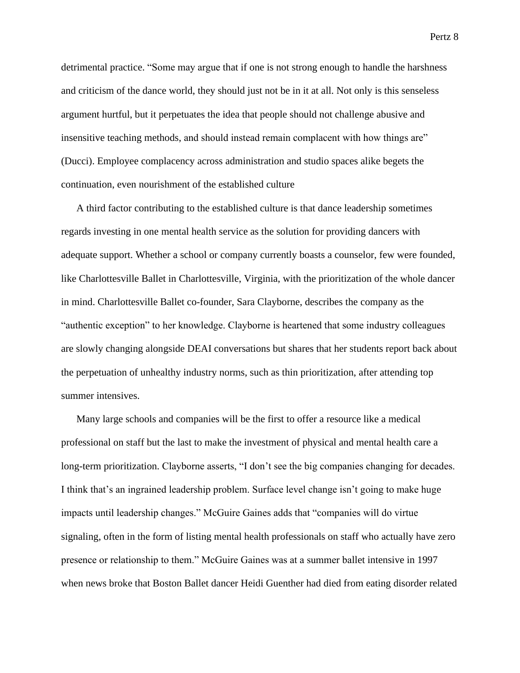detrimental practice. "Some may argue that if one is not strong enough to handle the harshness and criticism of the dance world, they should just not be in it at all. Not only is this senseless argument hurtful, but it perpetuates the idea that people should not challenge abusive and insensitive teaching methods, and should instead remain complacent with how things are" (Ducci). Employee complacency across administration and studio spaces alike begets the continuation, even nourishment of the established culture

A third factor contributing to the established culture is that dance leadership sometimes regards investing in one mental health service as the solution for providing dancers with adequate support. Whether a school or company currently boasts a counselor, few were founded, like Charlottesville Ballet in Charlottesville, Virginia, with the prioritization of the whole dancer in mind. Charlottesville Ballet co-founder, Sara Clayborne, describes the company as the "authentic exception" to her knowledge. Clayborne is heartened that some industry colleagues are slowly changing alongside DEAI conversations but shares that her students report back about the perpetuation of unhealthy industry norms, such as thin prioritization, after attending top summer intensives.

Many large schools and companies will be the first to offer a resource like a medical professional on staff but the last to make the investment of physical and mental health care a long-term prioritization. Clayborne asserts, "I don't see the big companies changing for decades. I think that's an ingrained leadership problem. Surface level change isn't going to make huge impacts until leadership changes." McGuire Gaines adds that "companies will do virtue signaling, often in the form of listing mental health professionals on staff who actually have zero presence or relationship to them." McGuire Gaines was at a summer ballet intensive in 1997 when news broke that Boston Ballet dancer Heidi Guenther had died from eating disorder related

Pertz 8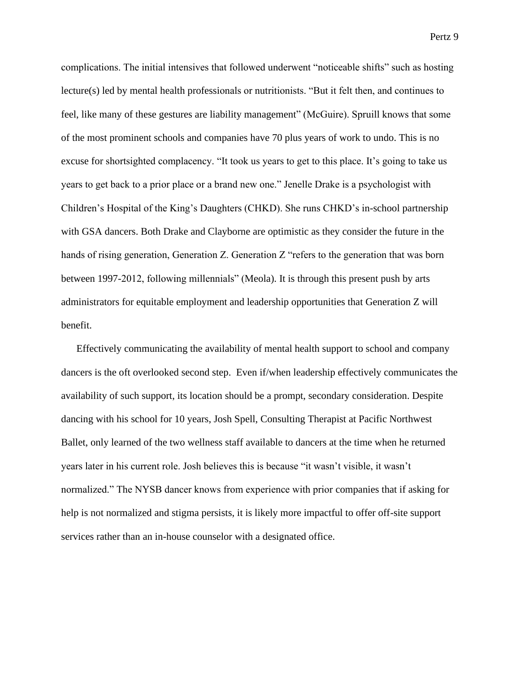complications. The initial intensives that followed underwent "noticeable shifts" such as hosting lecture(s) led by mental health professionals or nutritionists. "But it felt then, and continues to feel, like many of these gestures are liability management" (McGuire). Spruill knows that some of the most prominent schools and companies have 70 plus years of work to undo. This is no excuse for shortsighted complacency. "It took us years to get to this place. It's going to take us years to get back to a prior place or a brand new one." Jenelle Drake is a psychologist with Children's Hospital of the King's Daughters (CHKD). She runs CHKD's in-school partnership with GSA dancers. Both Drake and Clayborne are optimistic as they consider the future in the hands of rising generation, Generation Z. Generation Z "refers to the generation that was born between 1997-2012, following millennials" (Meola). It is through this present push by arts administrators for equitable employment and leadership opportunities that Generation Z will benefit.

Effectively communicating the availability of mental health support to school and company dancers is the oft overlooked second step. Even if/when leadership effectively communicates the availability of such support, its location should be a prompt, secondary consideration. Despite dancing with his school for 10 years, Josh Spell, Consulting Therapist at Pacific Northwest Ballet, only learned of the two wellness staff available to dancers at the time when he returned years later in his current role. Josh believes this is because "it wasn't visible, it wasn't normalized." The NYSB dancer knows from experience with prior companies that if asking for help is not normalized and stigma persists, it is likely more impactful to offer off-site support services rather than an in-house counselor with a designated office.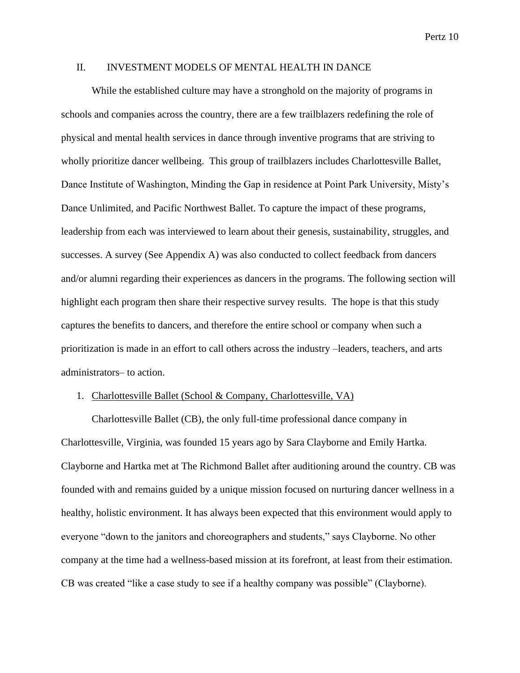#### II. INVESTMENT MODELS OF MENTAL HEALTH IN DANCE

While the established culture may have a stronghold on the majority of programs in schools and companies across the country, there are a few trailblazers redefining the role of physical and mental health services in dance through inventive programs that are striving to wholly prioritize dancer wellbeing. This group of trailblazers includes Charlottesville Ballet, Dance Institute of Washington, Minding the Gap in residence at Point Park University, Misty's Dance Unlimited, and Pacific Northwest Ballet. To capture the impact of these programs, leadership from each was interviewed to learn about their genesis, sustainability, struggles, and successes. A survey (See Appendix A) was also conducted to collect feedback from dancers and/or alumni regarding their experiences as dancers in the programs. The following section will highlight each program then share their respective survey results. The hope is that this study captures the benefits to dancers, and therefore the entire school or company when such a prioritization is made in an effort to call others across the industry –leaders, teachers, and arts administrators– to action.

#### 1. Charlottesville Ballet (School & Company, Charlottesville, VA)

Charlottesville Ballet (CB), the only full-time professional dance company in Charlottesville, Virginia, was founded 15 years ago by Sara Clayborne and Emily Hartka. Clayborne and Hartka met at The Richmond Ballet after auditioning around the country. CB was founded with and remains guided by a unique mission focused on nurturing dancer wellness in a healthy, holistic environment. It has always been expected that this environment would apply to everyone "down to the janitors and choreographers and students," says Clayborne. No other company at the time had a wellness-based mission at its forefront, at least from their estimation. CB was created "like a case study to see if a healthy company was possible" (Clayborne).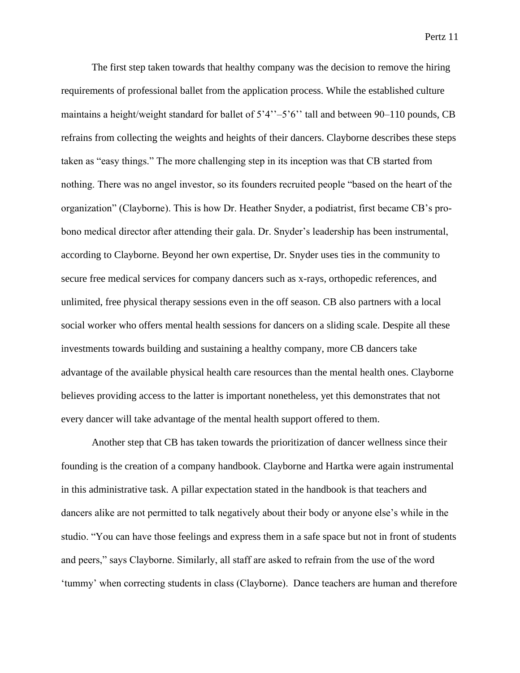The first step taken towards that healthy company was the decision to remove the hiring requirements of professional ballet from the application process. While the established culture maintains a height/weight standard for ballet of 5'4"–5'6" tall and between 90–110 pounds, CB refrains from collecting the weights and heights of their dancers. Clayborne describes these steps taken as "easy things." The more challenging step in its inception was that CB started from nothing. There was no angel investor, so its founders recruited people "based on the heart of the organization" (Clayborne). This is how Dr. Heather Snyder, a podiatrist, first became CB's probono medical director after attending their gala. Dr. Snyder's leadership has been instrumental, according to Clayborne. Beyond her own expertise, Dr. Snyder uses ties in the community to secure free medical services for company dancers such as x-rays, orthopedic references, and unlimited, free physical therapy sessions even in the off season. CB also partners with a local social worker who offers mental health sessions for dancers on a sliding scale. Despite all these investments towards building and sustaining a healthy company, more CB dancers take advantage of the available physical health care resources than the mental health ones. Clayborne believes providing access to the latter is important nonetheless, yet this demonstrates that not every dancer will take advantage of the mental health support offered to them.

Another step that CB has taken towards the prioritization of dancer wellness since their founding is the creation of a company handbook. Clayborne and Hartka were again instrumental in this administrative task. A pillar expectation stated in the handbook is that teachers and dancers alike are not permitted to talk negatively about their body or anyone else's while in the studio. "You can have those feelings and express them in a safe space but not in front of students and peers," says Clayborne. Similarly, all staff are asked to refrain from the use of the word 'tummy' when correcting students in class (Clayborne). Dance teachers are human and therefore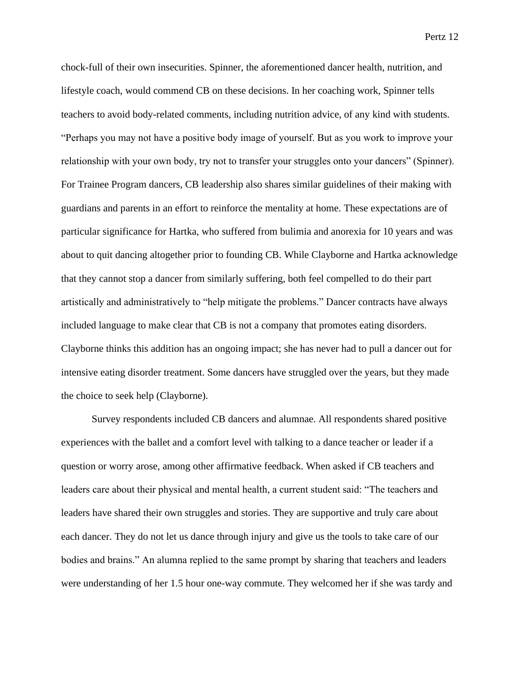chock-full of their own insecurities. Spinner, the aforementioned dancer health, nutrition, and lifestyle coach, would commend CB on these decisions. In her coaching work, Spinner tells teachers to avoid body-related comments, including nutrition advice, of any kind with students. "Perhaps you may not have a positive body image of yourself. But as you work to improve your relationship with your own body, try not to transfer your struggles onto your dancers" (Spinner). For Trainee Program dancers, CB leadership also shares similar guidelines of their making with guardians and parents in an effort to reinforce the mentality at home. These expectations are of particular significance for Hartka, who suffered from bulimia and anorexia for 10 years and was about to quit dancing altogether prior to founding CB. While Clayborne and Hartka acknowledge that they cannot stop a dancer from similarly suffering, both feel compelled to do their part artistically and administratively to "help mitigate the problems." Dancer contracts have always included language to make clear that CB is not a company that promotes eating disorders. Clayborne thinks this addition has an ongoing impact; she has never had to pull a dancer out for intensive eating disorder treatment. Some dancers have struggled over the years, but they made the choice to seek help (Clayborne).

Survey respondents included CB dancers and alumnae. All respondents shared positive experiences with the ballet and a comfort level with talking to a dance teacher or leader if a question or worry arose, among other affirmative feedback. When asked if CB teachers and leaders care about their physical and mental health, a current student said: "The teachers and leaders have shared their own struggles and stories. They are supportive and truly care about each dancer. They do not let us dance through injury and give us the tools to take care of our bodies and brains." An alumna replied to the same prompt by sharing that teachers and leaders were understanding of her 1.5 hour one-way commute. They welcomed her if she was tardy and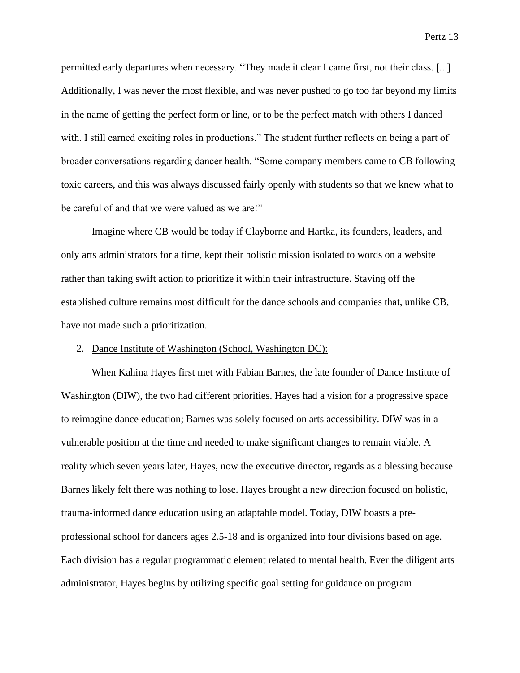permitted early departures when necessary. "They made it clear I came first, not their class. [...] Additionally, I was never the most flexible, and was never pushed to go too far beyond my limits in the name of getting the perfect form or line, or to be the perfect match with others I danced with. I still earned exciting roles in productions." The student further reflects on being a part of broader conversations regarding dancer health. "Some company members came to CB following toxic careers, and this was always discussed fairly openly with students so that we knew what to be careful of and that we were valued as we are!"

Imagine where CB would be today if Clayborne and Hartka, its founders, leaders, and only arts administrators for a time, kept their holistic mission isolated to words on a website rather than taking swift action to prioritize it within their infrastructure. Staving off the established culture remains most difficult for the dance schools and companies that, unlike CB, have not made such a prioritization.

## 2. Dance Institute of Washington (School, Washington DC):

When Kahina Hayes first met with Fabian Barnes, the late founder of Dance Institute of Washington (DIW), the two had different priorities. Hayes had a vision for a progressive space to reimagine dance education; Barnes was solely focused on arts accessibility. DIW was in a vulnerable position at the time and needed to make significant changes to remain viable. A reality which seven years later, Hayes, now the executive director, regards as a blessing because Barnes likely felt there was nothing to lose. Hayes brought a new direction focused on holistic, trauma-informed dance education using an adaptable model. Today, DIW boasts a preprofessional school for dancers ages 2.5-18 and is organized into four divisions based on age. Each division has a regular programmatic element related to mental health. Ever the diligent arts administrator, Hayes begins by utilizing specific goal setting for guidance on program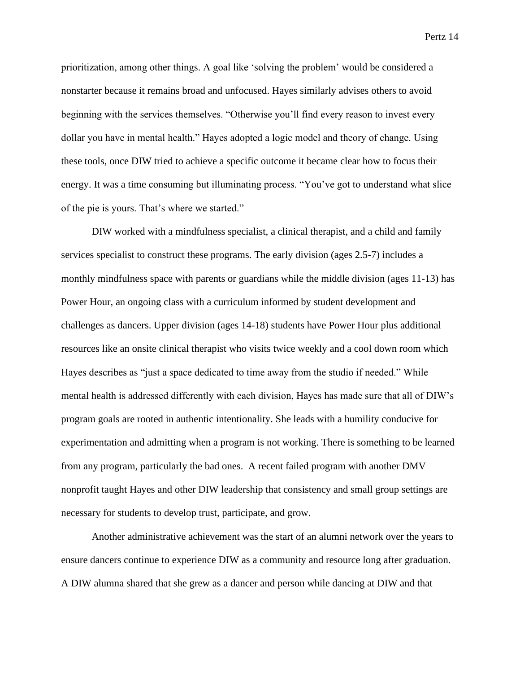prioritization, among other things. A goal like 'solving the problem' would be considered a nonstarter because it remains broad and unfocused. Hayes similarly advises others to avoid beginning with the services themselves. "Otherwise you'll find every reason to invest every dollar you have in mental health." Hayes adopted a logic model and theory of change. Using these tools, once DIW tried to achieve a specific outcome it became clear how to focus their energy. It was a time consuming but illuminating process. "You've got to understand what slice of the pie is yours. That's where we started."

DIW worked with a mindfulness specialist, a clinical therapist, and a child and family services specialist to construct these programs. The early division (ages 2.5-7) includes a monthly mindfulness space with parents or guardians while the middle division (ages 11-13) has Power Hour, an ongoing class with a curriculum informed by student development and challenges as dancers. Upper division (ages 14-18) students have Power Hour plus additional resources like an onsite clinical therapist who visits twice weekly and a cool down room which Hayes describes as "just a space dedicated to time away from the studio if needed." While mental health is addressed differently with each division, Hayes has made sure that all of DIW's program goals are rooted in authentic intentionality. She leads with a humility conducive for experimentation and admitting when a program is not working. There is something to be learned from any program, particularly the bad ones. A recent failed program with another DMV nonprofit taught Hayes and other DIW leadership that consistency and small group settings are necessary for students to develop trust, participate, and grow.

Another administrative achievement was the start of an alumni network over the years to ensure dancers continue to experience DIW as a community and resource long after graduation. A DIW alumna shared that she grew as a dancer and person while dancing at DIW and that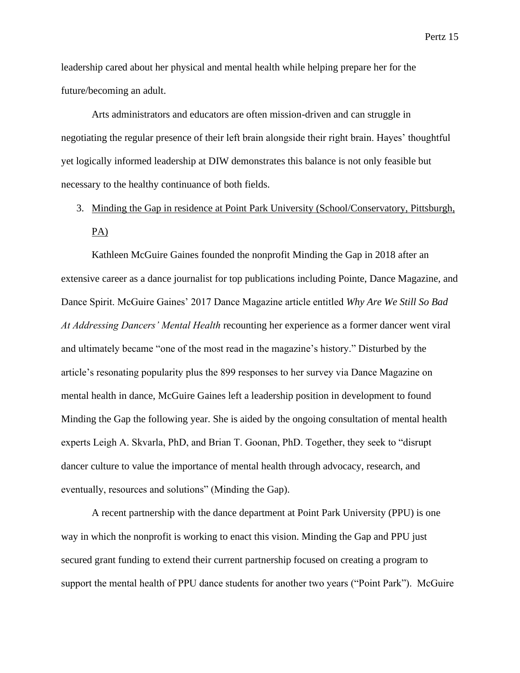leadership cared about her physical and mental health while helping prepare her for the future/becoming an adult.

Arts administrators and educators are often mission-driven and can struggle in negotiating the regular presence of their left brain alongside their right brain. Hayes' thoughtful yet logically informed leadership at DIW demonstrates this balance is not only feasible but necessary to the healthy continuance of both fields.

# 3. Minding the Gap in residence at Point Park University (School/Conservatory, Pittsburgh, PA)

Kathleen McGuire Gaines founded the nonprofit Minding the Gap in 2018 after an extensive career as a dance journalist for top publications including Pointe, Dance Magazine, and Dance Spirit. McGuire Gaines' 2017 Dance Magazine article entitled *Why Are We Still So Bad At Addressing Dancers' Mental Health* recounting her experience as a former dancer went viral and ultimately became "one of the most read in the magazine's history." Disturbed by the article's resonating popularity plus the 899 responses to her survey via Dance Magazine on mental health in dance, McGuire Gaines left a leadership position in development to found Minding the Gap the following year. She is aided by the ongoing consultation of mental health experts Leigh A. Skvarla, PhD, and Brian T. Goonan, PhD. Together, they seek to "disrupt dancer culture to value the importance of mental health through advocacy, research, and eventually, resources and solutions" (Minding the Gap).

A recent partnership with the dance department at Point Park University (PPU) is one way in which the nonprofit is working to enact this vision. Minding the Gap and PPU just secured grant funding to extend their current partnership focused on creating a program to support the mental health of PPU dance students for another two years ("Point Park"). McGuire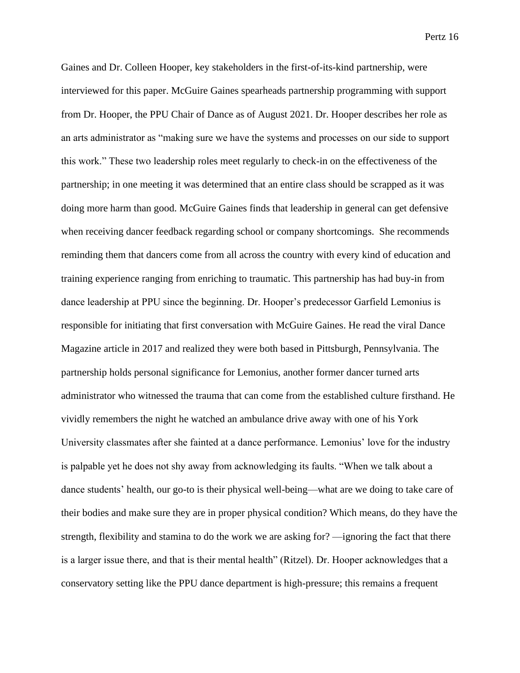Gaines and Dr. Colleen Hooper, key stakeholders in the first-of-its-kind partnership, were interviewed for this paper. McGuire Gaines spearheads partnership programming with support from Dr. Hooper, the PPU Chair of Dance as of August 2021. Dr. Hooper describes her role as an arts administrator as "making sure we have the systems and processes on our side to support this work." These two leadership roles meet regularly to check-in on the effectiveness of the partnership; in one meeting it was determined that an entire class should be scrapped as it was doing more harm than good. McGuire Gaines finds that leadership in general can get defensive when receiving dancer feedback regarding school or company shortcomings. She recommends reminding them that dancers come from all across the country with every kind of education and training experience ranging from enriching to traumatic. This partnership has had buy-in from dance leadership at PPU since the beginning. Dr. Hooper's predecessor Garfield Lemonius is responsible for initiating that first conversation with McGuire Gaines. He read the viral Dance Magazine article in 2017 and realized they were both based in Pittsburgh, Pennsylvania. The partnership holds personal significance for Lemonius, another former dancer turned arts administrator who witnessed the trauma that can come from the established culture firsthand. He vividly remembers the night he watched an ambulance drive away with one of his York University classmates after she fainted at a dance performance. Lemonius' love for the industry is palpable yet he does not shy away from acknowledging its faults. "When we talk about a dance students' health, our go-to is their physical well-being—what are we doing to take care of their bodies and make sure they are in proper physical condition? Which means, do they have the strength, flexibility and stamina to do the work we are asking for? —ignoring the fact that there is a larger issue there, and that is their mental health" (Ritzel). Dr. Hooper acknowledges that a conservatory setting like the PPU dance department is high-pressure; this remains a frequent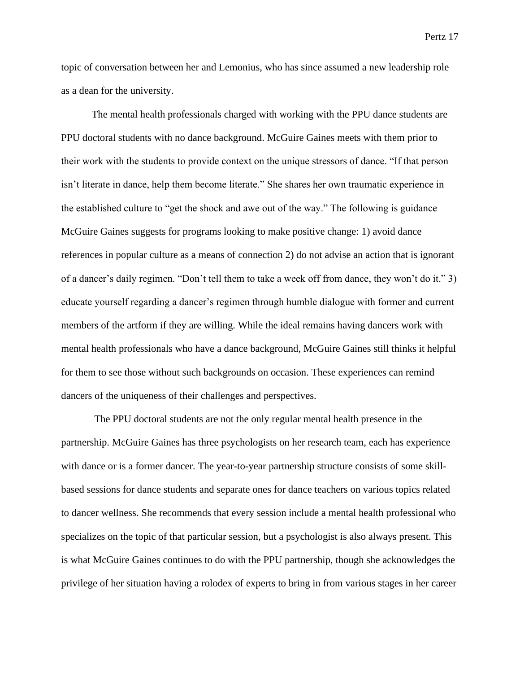topic of conversation between her and Lemonius, who has since assumed a new leadership role as a dean for the university.

The mental health professionals charged with working with the PPU dance students are PPU doctoral students with no dance background. McGuire Gaines meets with them prior to their work with the students to provide context on the unique stressors of dance. "If that person isn't literate in dance, help them become literate." She shares her own traumatic experience in the established culture to "get the shock and awe out of the way." The following is guidance McGuire Gaines suggests for programs looking to make positive change: 1) avoid dance references in popular culture as a means of connection 2) do not advise an action that is ignorant of a dancer's daily regimen. "Don't tell them to take a week off from dance, they won't do it." 3) educate yourself regarding a dancer's regimen through humble dialogue with former and current members of the artform if they are willing. While the ideal remains having dancers work with mental health professionals who have a dance background, McGuire Gaines still thinks it helpful for them to see those without such backgrounds on occasion. These experiences can remind dancers of the uniqueness of their challenges and perspectives.

The PPU doctoral students are not the only regular mental health presence in the partnership. McGuire Gaines has three psychologists on her research team, each has experience with dance or is a former dancer. The year-to-year partnership structure consists of some skillbased sessions for dance students and separate ones for dance teachers on various topics related to dancer wellness. She recommends that every session include a mental health professional who specializes on the topic of that particular session, but a psychologist is also always present. This is what McGuire Gaines continues to do with the PPU partnership, though she acknowledges the privilege of her situation having a rolodex of experts to bring in from various stages in her career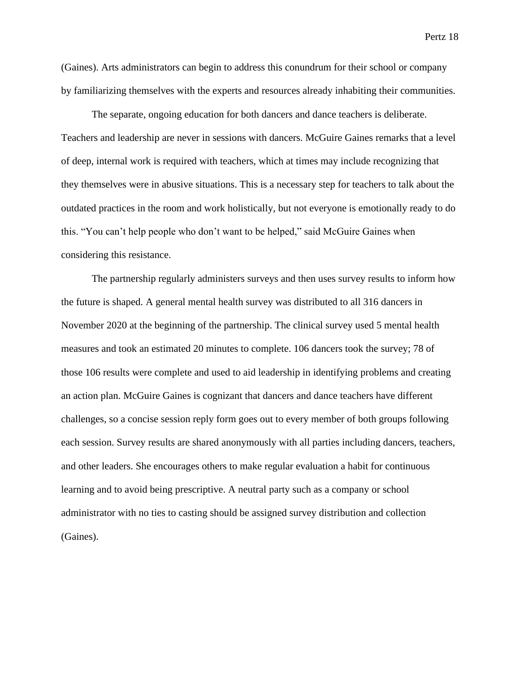(Gaines). Arts administrators can begin to address this conundrum for their school or company by familiarizing themselves with the experts and resources already inhabiting their communities.

The separate, ongoing education for both dancers and dance teachers is deliberate. Teachers and leadership are never in sessions with dancers. McGuire Gaines remarks that a level of deep, internal work is required with teachers, which at times may include recognizing that they themselves were in abusive situations. This is a necessary step for teachers to talk about the outdated practices in the room and work holistically, but not everyone is emotionally ready to do this. "You can't help people who don't want to be helped," said McGuire Gaines when considering this resistance.

The partnership regularly administers surveys and then uses survey results to inform how the future is shaped. A general mental health survey was distributed to all 316 dancers in November 2020 at the beginning of the partnership. The clinical survey used 5 mental health measures and took an estimated 20 minutes to complete. 106 dancers took the survey; 78 of those 106 results were complete and used to aid leadership in identifying problems and creating an action plan. McGuire Gaines is cognizant that dancers and dance teachers have different challenges, so a concise session reply form goes out to every member of both groups following each session. Survey results are shared anonymously with all parties including dancers, teachers, and other leaders. She encourages others to make regular evaluation a habit for continuous learning and to avoid being prescriptive. A neutral party such as a company or school administrator with no ties to casting should be assigned survey distribution and collection (Gaines).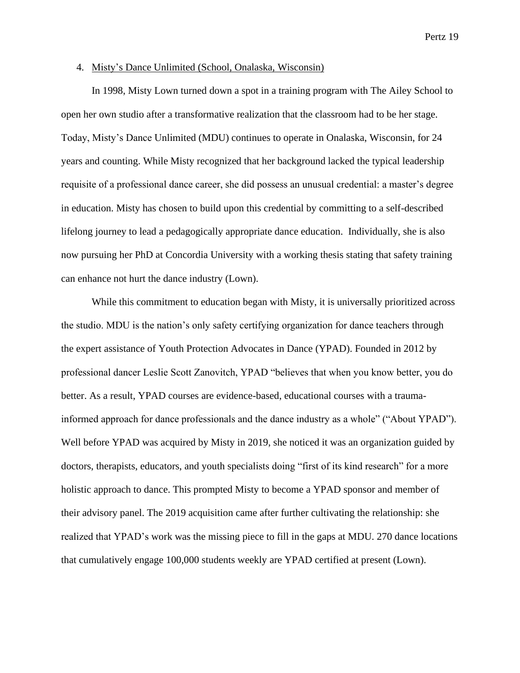#### 4. Misty's Dance Unlimited (School, Onalaska, Wisconsin)

In 1998, Misty Lown turned down a spot in a training program with The Ailey School to open her own studio after a transformative realization that the classroom had to be her stage. Today, Misty's Dance Unlimited (MDU) continues to operate in Onalaska, Wisconsin, for 24 years and counting. While Misty recognized that her background lacked the typical leadership requisite of a professional dance career, she did possess an unusual credential: a master's degree in education. Misty has chosen to build upon this credential by committing to a self-described lifelong journey to lead a pedagogically appropriate dance education. Individually, she is also now pursuing her PhD at Concordia University with a working thesis stating that safety training can enhance not hurt the dance industry (Lown).

While this commitment to education began with Misty, it is universally prioritized across the studio. MDU is the nation's only safety certifying organization for dance teachers through the expert assistance of Youth Protection Advocates in Dance (YPAD). Founded in 2012 by professional dancer Leslie Scott Zanovitch, YPAD "believes that when you know better, you do better. As a result, YPAD courses are evidence-based, educational courses with a traumainformed approach for dance professionals and the dance industry as a whole" ("About YPAD"). Well before YPAD was acquired by Misty in 2019, she noticed it was an organization guided by doctors, therapists, educators, and youth specialists doing "first of its kind research" for a more holistic approach to dance. This prompted Misty to become a YPAD sponsor and member of their advisory panel. The 2019 acquisition came after further cultivating the relationship: she realized that YPAD's work was the missing piece to fill in the gaps at MDU. 270 dance locations that cumulatively engage 100,000 students weekly are YPAD certified at present (Lown).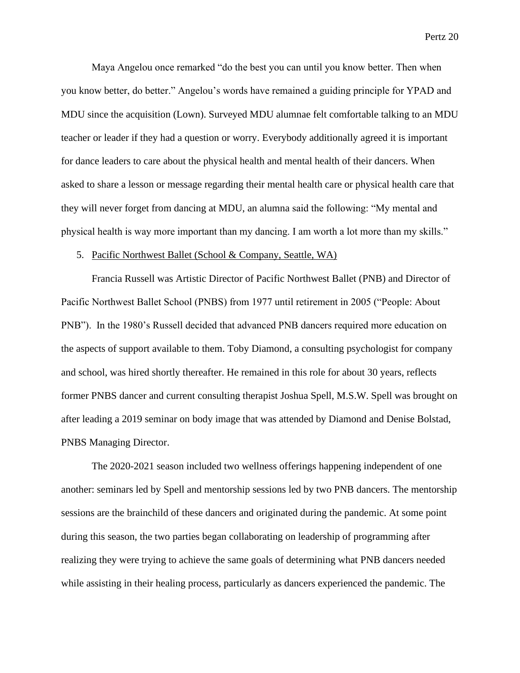Maya Angelou once remarked "do the best you can until you know better. Then when you know better, do better." Angelou's words have remained a guiding principle for YPAD and MDU since the acquisition (Lown). Surveyed MDU alumnae felt comfortable talking to an MDU teacher or leader if they had a question or worry. Everybody additionally agreed it is important for dance leaders to care about the physical health and mental health of their dancers. When asked to share a lesson or message regarding their mental health care or physical health care that they will never forget from dancing at MDU, an alumna said the following: "My mental and physical health is way more important than my dancing. I am worth a lot more than my skills."

#### 5. Pacific Northwest Ballet (School & Company, Seattle, WA)

Francia Russell was Artistic Director of Pacific Northwest Ballet (PNB) and Director of Pacific Northwest Ballet School (PNBS) from 1977 until retirement in 2005 ("People: About PNB"). In the 1980's Russell decided that advanced PNB dancers required more education on the aspects of support available to them. Toby Diamond, a consulting psychologist for company and school, was hired shortly thereafter. He remained in this role for about 30 years, reflects former PNBS dancer and current consulting therapist Joshua Spell, M.S.W. Spell was brought on after leading a 2019 seminar on body image that was attended by Diamond and Denise Bolstad, PNBS Managing Director.

The 2020-2021 season included two wellness offerings happening independent of one another: seminars led by Spell and mentorship sessions led by two PNB dancers. The mentorship sessions are the brainchild of these dancers and originated during the pandemic. At some point during this season, the two parties began collaborating on leadership of programming after realizing they were trying to achieve the same goals of determining what PNB dancers needed while assisting in their healing process, particularly as dancers experienced the pandemic. The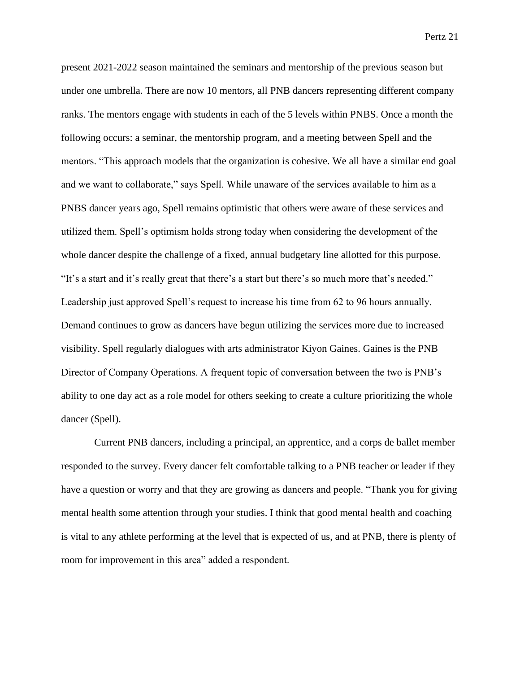present 2021-2022 season maintained the seminars and mentorship of the previous season but under one umbrella. There are now 10 mentors, all PNB dancers representing different company ranks. The mentors engage with students in each of the 5 levels within PNBS. Once a month the following occurs: a seminar, the mentorship program, and a meeting between Spell and the mentors. "This approach models that the organization is cohesive. We all have a similar end goal and we want to collaborate," says Spell. While unaware of the services available to him as a PNBS dancer years ago, Spell remains optimistic that others were aware of these services and utilized them. Spell's optimism holds strong today when considering the development of the whole dancer despite the challenge of a fixed, annual budgetary line allotted for this purpose. "It's a start and it's really great that there's a start but there's so much more that's needed." Leadership just approved Spell's request to increase his time from 62 to 96 hours annually. Demand continues to grow as dancers have begun utilizing the services more due to increased visibility. Spell regularly dialogues with arts administrator Kiyon Gaines. Gaines is the PNB Director of Company Operations. A frequent topic of conversation between the two is PNB's ability to one day act as a role model for others seeking to create a culture prioritizing the whole dancer (Spell).

Current PNB dancers, including a principal, an apprentice, and a corps de ballet member responded to the survey. Every dancer felt comfortable talking to a PNB teacher or leader if they have a question or worry and that they are growing as dancers and people. "Thank you for giving mental health some attention through your studies. I think that good mental health and coaching is vital to any athlete performing at the level that is expected of us, and at PNB, there is plenty of room for improvement in this area" added a respondent.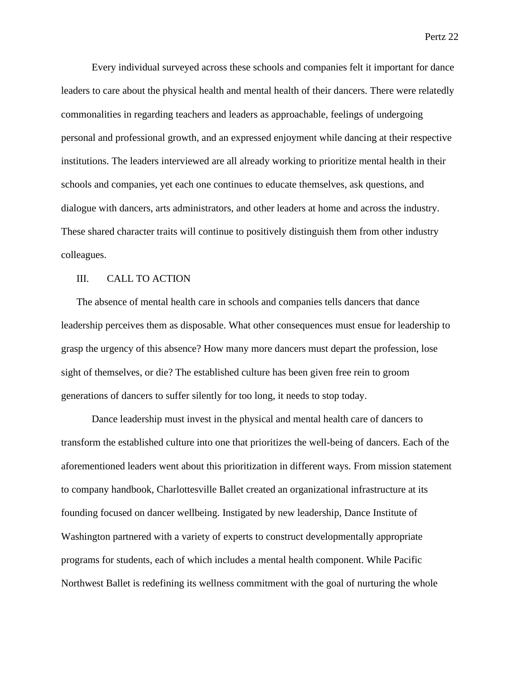Every individual surveyed across these schools and companies felt it important for dance leaders to care about the physical health and mental health of their dancers. There were relatedly commonalities in regarding teachers and leaders as approachable, feelings of undergoing personal and professional growth, and an expressed enjoyment while dancing at their respective institutions. The leaders interviewed are all already working to prioritize mental health in their schools and companies, yet each one continues to educate themselves, ask questions, and dialogue with dancers, arts administrators, and other leaders at home and across the industry. These shared character traits will continue to positively distinguish them from other industry colleagues.

## III. CALL TO ACTION

The absence of mental health care in schools and companies tells dancers that dance leadership perceives them as disposable. What other consequences must ensue for leadership to grasp the urgency of this absence? How many more dancers must depart the profession, lose sight of themselves, or die? The established culture has been given free rein to groom generations of dancers to suffer silently for too long, it needs to stop today.

Dance leadership must invest in the physical and mental health care of dancers to transform the established culture into one that prioritizes the well-being of dancers. Each of the aforementioned leaders went about this prioritization in different ways. From mission statement to company handbook, Charlottesville Ballet created an organizational infrastructure at its founding focused on dancer wellbeing. Instigated by new leadership, Dance Institute of Washington partnered with a variety of experts to construct developmentally appropriate programs for students, each of which includes a mental health component. While Pacific Northwest Ballet is redefining its wellness commitment with the goal of nurturing the whole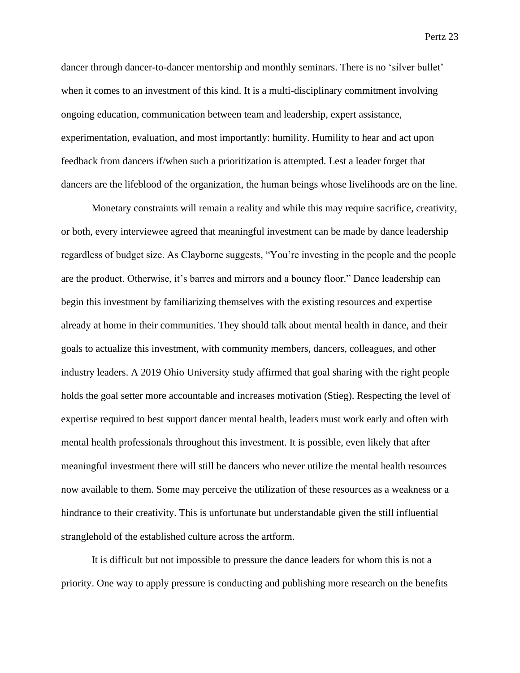dancer through dancer-to-dancer mentorship and monthly seminars. There is no 'silver bullet' when it comes to an investment of this kind. It is a multi-disciplinary commitment involving ongoing education, communication between team and leadership, expert assistance, experimentation, evaluation, and most importantly: humility. Humility to hear and act upon feedback from dancers if/when such a prioritization is attempted. Lest a leader forget that dancers are the lifeblood of the organization, the human beings whose livelihoods are on the line.

Monetary constraints will remain a reality and while this may require sacrifice, creativity, or both, every interviewee agreed that meaningful investment can be made by dance leadership regardless of budget size. As Clayborne suggests, "You're investing in the people and the people are the product. Otherwise, it's barres and mirrors and a bouncy floor." Dance leadership can begin this investment by familiarizing themselves with the existing resources and expertise already at home in their communities. They should talk about mental health in dance, and their goals to actualize this investment, with community members, dancers, colleagues, and other industry leaders. A 2019 Ohio University study affirmed that goal sharing with the right people holds the goal setter more accountable and increases motivation (Stieg). Respecting the level of expertise required to best support dancer mental health, leaders must work early and often with mental health professionals throughout this investment. It is possible, even likely that after meaningful investment there will still be dancers who never utilize the mental health resources now available to them. Some may perceive the utilization of these resources as a weakness or a hindrance to their creativity. This is unfortunate but understandable given the still influential stranglehold of the established culture across the artform.

It is difficult but not impossible to pressure the dance leaders for whom this is not a priority. One way to apply pressure is conducting and publishing more research on the benefits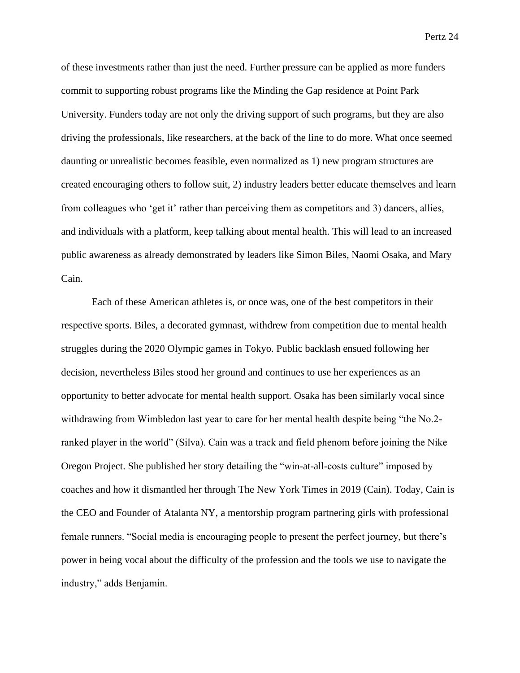of these investments rather than just the need. Further pressure can be applied as more funders commit to supporting robust programs like the Minding the Gap residence at Point Park University. Funders today are not only the driving support of such programs, but they are also driving the professionals, like researchers, at the back of the line to do more. What once seemed daunting or unrealistic becomes feasible, even normalized as 1) new program structures are created encouraging others to follow suit, 2) industry leaders better educate themselves and learn from colleagues who 'get it' rather than perceiving them as competitors and 3) dancers, allies, and individuals with a platform, keep talking about mental health. This will lead to an increased public awareness as already demonstrated by leaders like Simon Biles, Naomi Osaka, and Mary Cain.

Each of these American athletes is, or once was, one of the best competitors in their respective sports. Biles, a decorated gymnast, withdrew from competition due to mental health struggles during the 2020 Olympic games in Tokyo. Public backlash ensued following her decision, nevertheless Biles stood her ground and continues to use her experiences as an opportunity to better advocate for mental health support. Osaka has been similarly vocal since withdrawing from Wimbledon last year to care for her mental health despite being "the No.2 ranked player in the world" (Silva). Cain was a track and field phenom before joining the Nike Oregon Project. She published her story detailing the "win-at-all-costs culture" imposed by coaches and how it dismantled her through The New York Times in 2019 (Cain). Today, Cain is the CEO and Founder of Atalanta NY, a mentorship program partnering girls with professional female runners. "Social media is encouraging people to present the perfect journey, but there's power in being vocal about the difficulty of the profession and the tools we use to navigate the industry," adds Benjamin.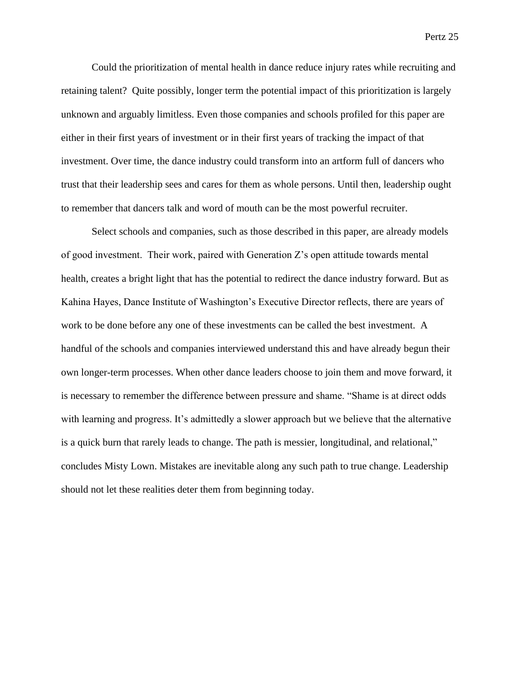Could the prioritization of mental health in dance reduce injury rates while recruiting and retaining talent? Quite possibly, longer term the potential impact of this prioritization is largely unknown and arguably limitless. Even those companies and schools profiled for this paper are either in their first years of investment or in their first years of tracking the impact of that investment. Over time, the dance industry could transform into an artform full of dancers who trust that their leadership sees and cares for them as whole persons. Until then, leadership ought to remember that dancers talk and word of mouth can be the most powerful recruiter.

Select schools and companies, such as those described in this paper, are already models of good investment. Their work, paired with Generation Z's open attitude towards mental health, creates a bright light that has the potential to redirect the dance industry forward. But as Kahina Hayes, Dance Institute of Washington's Executive Director reflects, there are years of work to be done before any one of these investments can be called the best investment. A handful of the schools and companies interviewed understand this and have already begun their own longer-term processes. When other dance leaders choose to join them and move forward, it is necessary to remember the difference between pressure and shame. "Shame is at direct odds with learning and progress. It's admittedly a slower approach but we believe that the alternative is a quick burn that rarely leads to change. The path is messier, longitudinal, and relational," concludes Misty Lown. Mistakes are inevitable along any such path to true change. Leadership should not let these realities deter them from beginning today.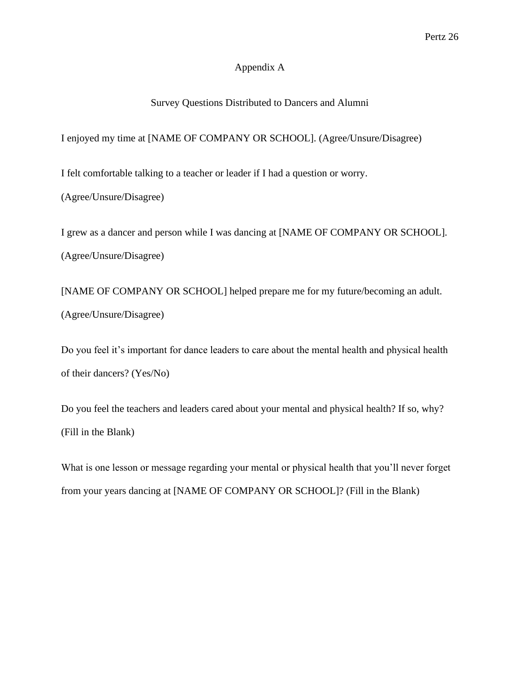# Appendix A

# Survey Questions Distributed to Dancers and Alumni

I enjoyed my time at [NAME OF COMPANY OR SCHOOL]. (Agree/Unsure/Disagree)

I felt comfortable talking to a teacher or leader if I had a question or worry.

(Agree/Unsure/Disagree)

I grew as a dancer and person while I was dancing at [NAME OF COMPANY OR SCHOOL]. (Agree/Unsure/Disagree)

[NAME OF COMPANY OR SCHOOL] helped prepare me for my future/becoming an adult. (Agree/Unsure/Disagree)

Do you feel it's important for dance leaders to care about the mental health and physical health of their dancers? (Yes/No)

Do you feel the teachers and leaders cared about your mental and physical health? If so, why? (Fill in the Blank)

What is one lesson or message regarding your mental or physical health that you'll never forget from your years dancing at [NAME OF COMPANY OR SCHOOL]? (Fill in the Blank)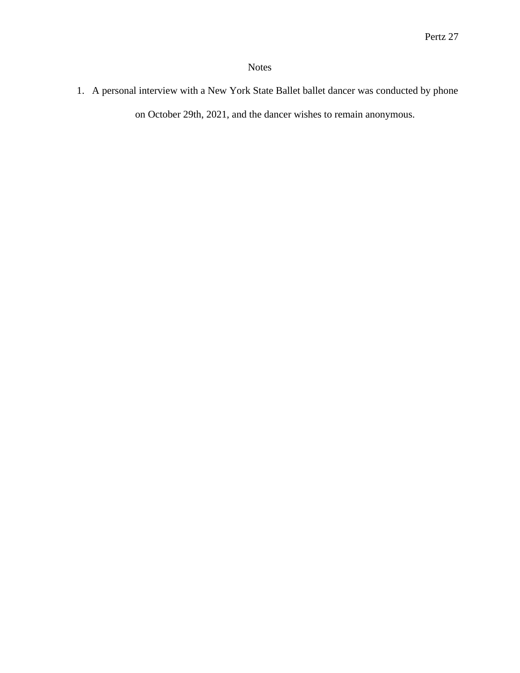# Notes

1. A personal interview with a New York State Ballet ballet dancer was conducted by phone on October 29th, 2021, and the dancer wishes to remain anonymous.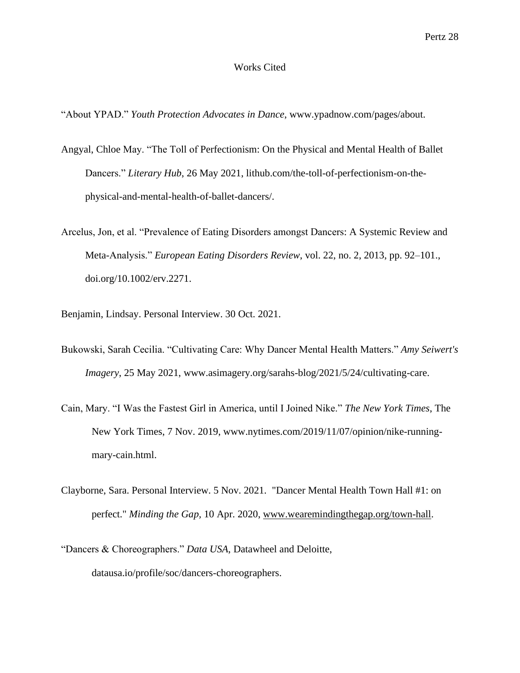#### Works Cited

"About YPAD." *Youth Protection Advocates in Dance*, www.ypadnow.com/pages/about.

- Angyal, Chloe May. "The Toll of Perfectionism: On the Physical and Mental Health of Ballet Dancers." *Literary Hub*, 26 May 2021, lithub.com/the-toll-of-perfectionism-on-thephysical-and-mental-health-of-ballet-dancers/.
- Arcelus, Jon, et al. "Prevalence of Eating Disorders amongst Dancers: A Systemic Review and Meta-Analysis." *European Eating Disorders Review*, vol. 22, no. 2, 2013, pp. 92–101., doi.org/10.1002/erv.2271.

Benjamin, Lindsay. Personal Interview. 30 Oct. 2021.

- Bukowski, Sarah Cecilia. "Cultivating Care: Why Dancer Mental Health Matters." *Amy Seiwert's Imagery*, 25 May 2021, www.asimagery.org/sarahs-blog/2021/5/24/cultivating-care.
- Cain, Mary. "I Was the Fastest Girl in America, until I Joined Nike." *The New York Times*, The New York Times, 7 Nov. 2019, www.nytimes.com/2019/11/07/opinion/nike-runningmary-cain.html.
- Clayborne, Sara. Personal Interview. 5 Nov. 2021. "Dancer Mental Health Town Hall #1: on perfect." *Minding the Gap,* 10 Apr. 2020, [www.wearemindingthegap.org/town-hall.](https://www.wearemindingthegap.org/town-hall)
- "Dancers & Choreographers." *Data USA*, Datawheel and Deloitte, datausa.io/profile/soc/dancers-choreographers.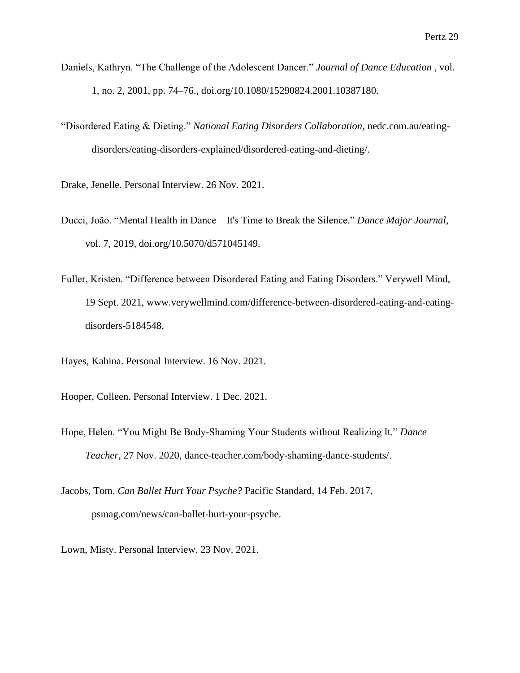- Daniels, Kathryn. "The Challenge of the Adolescent Dancer." *Journal of Dance Education* , vol. 1, no. 2, 2001, pp. 74–76., doi.org/10.1080/15290824.2001.10387180.
- "Disordered Eating & Dieting." *National Eating Disorders Collaboration*, nedc.com.au/eatingdisorders/eating-disorders-explained/disordered-eating-and-dieting/.
- Drake, Jenelle. Personal Interview. 26 Nov. 2021.
- Ducci, João. "Mental Health in Dance It's Time to Break the Silence." *Dance Major Journal*, vol. 7, 2019, doi.org/10.5070/d571045149.
- Fuller, Kristen. "Difference between Disordered Eating and Eating Disorders." Verywell Mind, 19 Sept. 2021, www.verywellmind.com/difference-between-disordered-eating-and-eatingdisorders-5184548.
- Hayes, Kahina. Personal Interview. 16 Nov. 2021.
- Hooper, Colleen. Personal Interview. 1 Dec. 2021.
- Hope, Helen. "You Might Be Body-Shaming Your Students without Realizing It." *Dance Teacher*, 27 Nov. 2020, dance-teacher.com/body-shaming-dance-students/.
- Jacobs, Tom. *Can Ballet Hurt Your Psyche?* Pacific Standard, 14 Feb. 2017, psmag.com/news/can-ballet-hurt-your-psyche.
- Lown, Misty. Personal Interview. 23 Nov. 2021.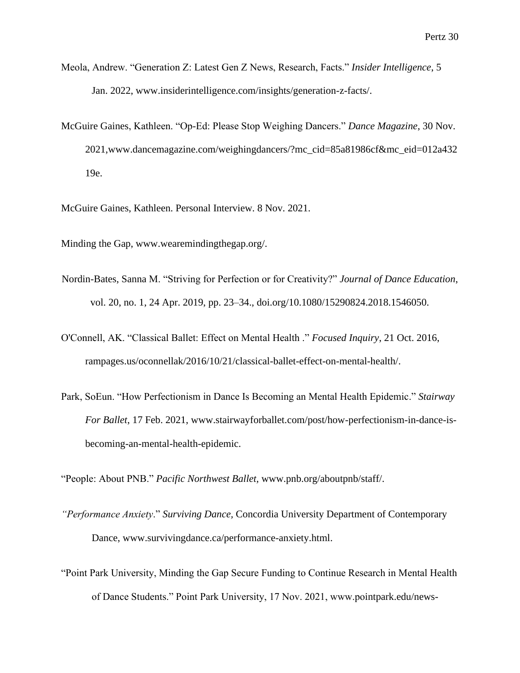- Meola, Andrew. "Generation Z: Latest Gen Z News, Research, Facts." *Insider Intelligence*, 5 Jan. 2022, www.insiderintelligence.com/insights/generation-z-facts/.
- McGuire Gaines, Kathleen. "Op-Ed: Please Stop Weighing Dancers." *Dance Magazine*, 30 Nov. 2021,www.dancemagazine.com/weighingdancers/?mc\_cid=85a81986cf&mc\_eid=012a432 19e.

McGuire Gaines, Kathleen. Personal Interview. 8 Nov. 2021.

Minding the Gap, www.wearemindingthegap.org/.

- Nordin-Bates, Sanna M. "Striving for Perfection or for Creativity?" *Journal of Dance Education*, vol. 20, no. 1, 24 Apr. 2019, pp. 23–34., doi.org/10.1080/15290824.2018.1546050.
- O'Connell, AK. "Classical Ballet: Effect on Mental Health ." *Focused Inquiry*, 21 Oct. 2016, [rampages.us/oconnellak/2016/10/21/classical-ballet-effect-on-mental-health/.](https://rampages.us/oconnellak/2016/10/21/classical-ballet-effect-on-mental-health/)
- Park, SoEun. "How Perfectionism in Dance Is Becoming an Mental Health Epidemic." *Stairway For Ballet*, 17 Feb. 2021, www.stairwayforballet.com/post/how-perfectionism-in-dance-isbecoming-an-mental-health-epidemic.

"People: About PNB." *Pacific Northwest Ballet,* www.pnb.org/aboutpnb/staff/.

- *"Performance Anxiety*." *Surviving Dance,* Concordia University Department of Contemporary Dance, www.survivingdance.ca/performance-anxiety.html.
- "Point Park University, Minding the Gap Secure Funding to Continue Research in Mental Health of Dance Students." Point Park University, 17 Nov. 2021, www.pointpark.edu/news-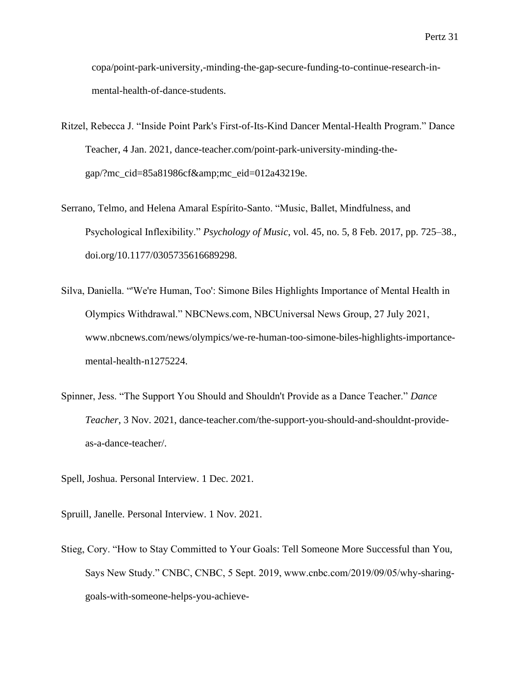copa/point-park-university,-minding-the-gap-secure-funding-to-continue-research-inmental-health-of-dance-students.

- Ritzel, Rebecca J. "Inside Point Park's First-of-Its-Kind Dancer Mental-Health Program." Dance Teacher, 4 Jan. 2021, dance-teacher.com/point-park-university-minding-thegap/?mc\_cid=85a81986cf $&cm$ -cid=012a43219e.
- Serrano, Telmo, and Helena Amaral Espírito-Santo. "Music, Ballet, Mindfulness, and Psychological Inflexibility." *Psychology of Music*, vol. 45, no. 5, 8 Feb. 2017, pp. 725–38., doi.org/10.1177/0305735616689298.
- Silva, Daniella. "'We're Human, Too': Simone Biles Highlights Importance of Mental Health in Olympics Withdrawal." NBCNews.com, NBCUniversal News Group, 27 July 2021, www.nbcnews.com/news/olympics/we-re-human-too-simone-biles-highlights-importancemental-health-n1275224.
- Spinner, Jess. "The Support You Should and Shouldn't Provide as a Dance Teacher." *Dance Teacher*, 3 Nov. 2021, [dance-teacher.com/the-support-you-should-and-shouldnt-provide](https://dance-teacher.com/the-support-you-should-and-shouldnt-provide-as-a-dance-teacher/)[as-a-dance-teacher/.](https://dance-teacher.com/the-support-you-should-and-shouldnt-provide-as-a-dance-teacher/)
- Spell, Joshua. Personal Interview. 1 Dec. 2021.
- Spruill, Janelle. Personal Interview. 1 Nov. 2021.
- Stieg, Cory. "How to Stay Committed to Your Goals: Tell Someone More Successful than You, Says New Study." CNBC, CNBC, 5 Sept. 2019, www.cnbc.com/2019/09/05/why-sharinggoals-with-someone-helps-you-achieve-